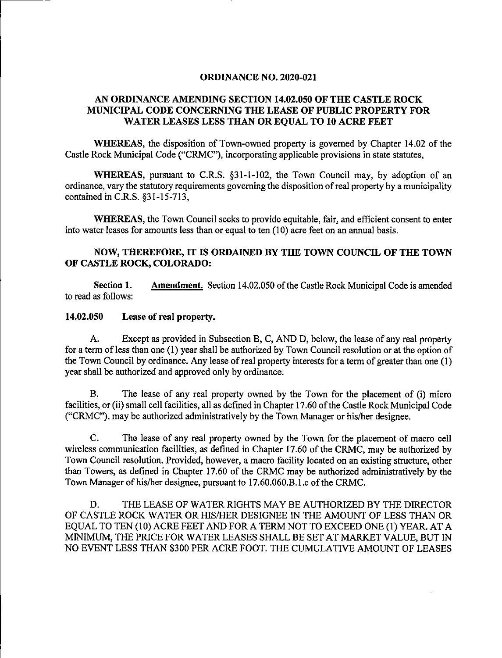### ORDINANCE NO. 2020-021

# AN ORDINANCE AMENDING SECTION 14.02.050 OF THE CASTLE ROCK MUNICIPAL CODE CONCERNING THE LEASE OF PUBLIC PROPERTY FOR WATER LEASES LESS THAN OR EQUAL TO 10 ACRE FEET

WHEREAS, the disposition of Town-owned property is governed by Chapter 14.02 of the Castle Rock Municipal Code ("CRMC"), incorporating applicable provisions in state statutes,

WHEREAS, pursuant to C.R.S. §31-1-102, the Town Council may, by adoption of an ordinance, vary the statutory requirements goveming the disposition ofreal property by a municipality contained in C.R.S. §31-15-713,

WHEREAS, the Town Council seeks to provide equitable, fair, and efficient consent to enter into water leases for amounts less than or equal to ten (10) acre feet on an annual basis.

# NOW, THEREFORE, IT IS ORDAINED BY THE TOWN COUNCH OF THE TOWN OF CASTLE ROCK, COLORADO:

Section 1. Amendment. Section 14.02.050 of the Castle Rock Municipal Code is amended to read as follows:

#### 14.02.050 Lease of real property.

A. Except as provided in Subsection B, C, AND D, below, the lease of any real property for a term of less than one (1) year shall be authorized by Town Council resolution or at the option of the Town Council by ordinance. Any lease ofreal property interests for a term of greater than one (1) year shall be authorized and approved only by ordinance.

B. The lease of any real property owned by the Town for the placement of (i) micro facilities, or (ii) small cell facilities, all as defined in Chapter 17.60 of the Castle Rock Municipal Code ("CRMC"), may be authorized administratively by the Town Manager or his/her designee.

C. The lease of any real property owned by the Town for the placement of macro cell wireless communication facilities, as defined in Chapter 17.60 of the CRMC, may be authorized by Town Council resolution. Provided, however, a macro facility located on an existing structure, other than Towers, as defined in Chapter 17.60 of the CRMC may be authorized administratively by the Town Manager of his/her designee, pursuant to 17.60.060.B.1.c of the CRMC.

D. THE LEASE OF WATER RIGHTS MAY BE AUTHORIZED BY THE DIRECTOR OF CASTLE ROCK WATER OR HIS/HER DESIGNEE IN THE AMOUNT OF LESS THAN OR EQUAL TO TEN (10) ACRE FEET AND FOR A TERM NOT TO EXCEED ONE (1) YEAR. AT A MINIMUM, THE PRICE FOR WATER LEASES SHALL BE SET AT MARKET VALUE, BUT IN NO EVENT LESS THAN \$300 PER ACRE FOOT. THE CUMULATIVE AMOUNT OF LEASES